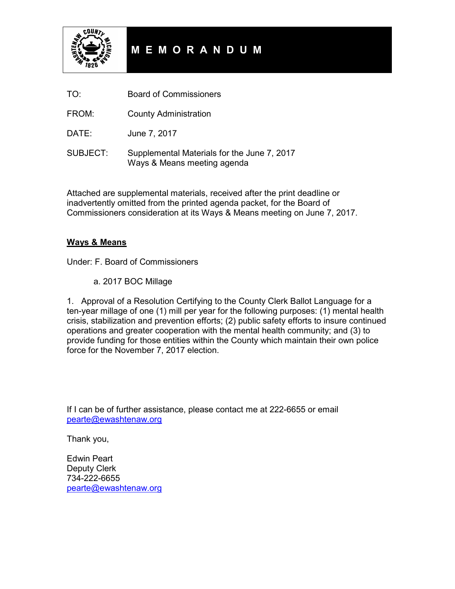

# **M E M O R A N D U M**

- TO: Board of Commissioners
- FROM: County Administration

DATE: June 7, 2017

SUBJECT: Supplemental Materials for the June 7, 2017 Ways & Means meeting agenda

Attached are supplemental materials, received after the print deadline or inadvertently omitted from the printed agenda packet, for the Board of Commissioners consideration at its Ways & Means meeting on June 7, 2017.

#### **Ways & Means**

Under: F. Board of Commissioners

a. 2017 BOC Millage

1. Approval of a Resolution Certifying to the County Clerk Ballot Language for a ten-year millage of one (1) mill per year for the following purposes: (1) mental health crisis, stabilization and prevention efforts; (2) public safety efforts to insure continued operations and greater cooperation with the mental health community; and (3) to provide funding for those entities within the County which maintain their own police force for the November 7, 2017 election.

If I can be of further assistance, please contact me at 222-6655 or email pearte@ewashtenaw.org

Thank you,

Edwin Peart Deputy Clerk 734-222-6655 pearte@ewashtenaw.org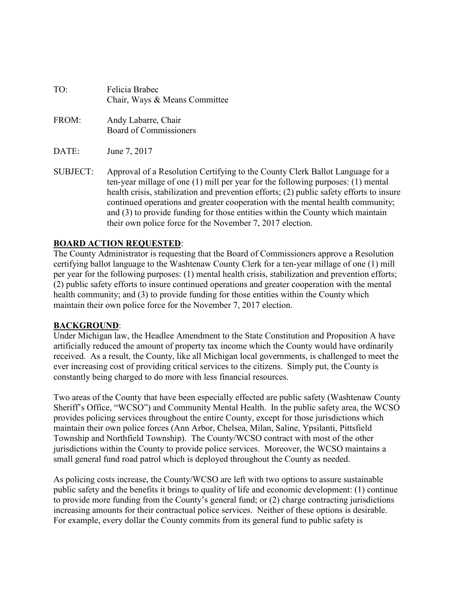| TO: | Felicia Brabec                |
|-----|-------------------------------|
|     | Chair, Ways & Means Committee |

- FROM: Andy Labarre, Chair Board of Commissioners
- DATE: June 7, 2017
- SUBJECT: Approval of a Resolution Certifying to the County Clerk Ballot Language for a ten-year millage of one (1) mill per year for the following purposes: (1) mental health crisis, stabilization and prevention efforts; (2) public safety efforts to insure continued operations and greater cooperation with the mental health community; and (3) to provide funding for those entities within the County which maintain their own police force for the November 7, 2017 election.

#### **BOARD ACTION REQUESTED**:

The County Administrator is requesting that the Board of Commissioners approve a Resolution certifying ballot language to the Washtenaw County Clerk for a ten-year millage of one (1) mill per year for the following purposes: (1) mental health crisis, stabilization and prevention efforts; (2) public safety efforts to insure continued operations and greater cooperation with the mental health community; and (3) to provide funding for those entities within the County which maintain their own police force for the November 7, 2017 election.

#### **BACKGROUND**:

Under Michigan law, the Headlee Amendment to the State Constitution and Proposition A have artificially reduced the amount of property tax income which the County would have ordinarily received. As a result, the County, like all Michigan local governments, is challenged to meet the ever increasing cost of providing critical services to the citizens. Simply put, the County is constantly being charged to do more with less financial resources.

Two areas of the County that have been especially effected are public safety (Washtenaw County Sheriff's Office, "WCSO") and Community Mental Health. In the public safety area, the WCSO provides policing services throughout the entire County, except for those jurisdictions which maintain their own police forces (Ann Arbor, Chelsea, Milan, Saline, Ypsilanti, Pittsfield Township and Northfield Township). The County/WCSO contract with most of the other jurisdictions within the County to provide police services. Moreover, the WCSO maintains a small general fund road patrol which is deployed throughout the County as needed.

As policing costs increase, the County/WCSO are left with two options to assure sustainable public safety and the benefits it brings to quality of life and economic development: (1) continue to provide more funding from the County's general fund; or (2) charge contracting jurisdictions increasing amounts for their contractual police services. Neither of these options is desirable. For example, every dollar the County commits from its general fund to public safety is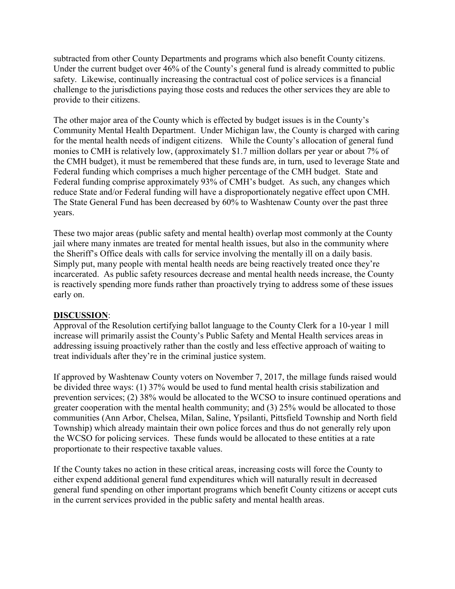subtracted from other County Departments and programs which also benefit County citizens. Under the current budget over 46% of the County's general fund is already committed to public safety. Likewise, continually increasing the contractual cost of police services is a financial challenge to the jurisdictions paying those costs and reduces the other services they are able to provide to their citizens.

The other major area of the County which is effected by budget issues is in the County's Community Mental Health Department. Under Michigan law, the County is charged with caring for the mental health needs of indigent citizens. While the County's allocation of general fund monies to CMH is relatively low, (approximately \$1.7 million dollars per year or about 7% of the CMH budget), it must be remembered that these funds are, in turn, used to leverage State and Federal funding which comprises a much higher percentage of the CMH budget. State and Federal funding comprise approximately 93% of CMH's budget. As such, any changes which reduce State and/or Federal funding will have a disproportionately negative effect upon CMH. The State General Fund has been decreased by 60% to Washtenaw County over the past three years.

These two major areas (public safety and mental health) overlap most commonly at the County jail where many inmates are treated for mental health issues, but also in the community where the Sheriff's Office deals with calls for service involving the mentally ill on a daily basis. Simply put, many people with mental health needs are being reactively treated once they're incarcerated. As public safety resources decrease and mental health needs increase, the County is reactively spending more funds rather than proactively trying to address some of these issues early on.

### **DISCUSSION**:

Approval of the Resolution certifying ballot language to the County Clerk for a 10-year 1 mill increase will primarily assist the County's Public Safety and Mental Health services areas in addressing issuing proactively rather than the costly and less effective approach of waiting to treat individuals after they're in the criminal justice system.

If approved by Washtenaw County voters on November 7, 2017, the millage funds raised would be divided three ways: (1) 37% would be used to fund mental health crisis stabilization and prevention services; (2) 38% would be allocated to the WCSO to insure continued operations and greater cooperation with the mental health community; and (3) 25% would be allocated to those communities (Ann Arbor, Chelsea, Milan, Saline, Ypsilanti, Pittsfield Township and North field Township) which already maintain their own police forces and thus do not generally rely upon the WCSO for policing services. These funds would be allocated to these entities at a rate proportionate to their respective taxable values.

If the County takes no action in these critical areas, increasing costs will force the County to either expend additional general fund expenditures which will naturally result in decreased general fund spending on other important programs which benefit County citizens or accept cuts in the current services provided in the public safety and mental health areas.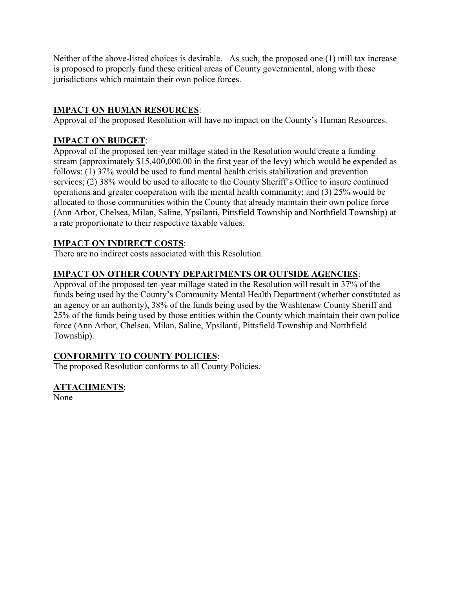Neither of the above-listed choices is desirable. As such, the proposed one (1) mill tax increase is proposed to properly fund these critical areas of County governmental, along with those jurisdictions which maintain their own police forces.

# **IMPACT ON HUMAN RESOURCES**:

Approval of the proposed Resolution will have no impact on the County's Human Resources.

# **IMPACT ON BUDGET**:

Approval of the proposed ten-year millage stated in the Resolution would create a funding stream (approximately \$15,400,000.00 in the first year of the levy) which would be expended as follows: (1) 37% would be used to fund mental health crisis stabilization and prevention services; (2) 38% would be used to allocate to the County Sheriff's Office to insure continued operations and greater cooperation with the mental health community; and (3) 25% would be allocated to those communities within the County that already maintain their own police force (Ann Arbor, Chelsea, Milan, Saline, Ypsilanti, Pittsfield Township and Northfield Township) at a rate proportionate to their respective taxable values.

# **IMPACT ON INDIRECT COSTS**:

There are no indirect costs associated with this Resolution.

# **IMPACT ON OTHER COUNTY DEPARTMENTS OR OUTSIDE AGENCIES**:

Approval of the proposed ten-year millage stated in the Resolution will result in 37% of the funds being used by the County's Community Mental Health Department (whether constituted as an agency or an authority), 38% of the funds being used by the Washtenaw County Sheriff and 25% of the funds being used by those entities within the County which maintain their own police force (Ann Arbor, Chelsea, Milan, Saline, Ypsilanti, Pittsfield Township and Northfield Township).

# **CONFORMITY TO COUNTY POLICIES**:

The proposed Resolution conforms to all County Policies.

# **ATTACHMENTS**:

None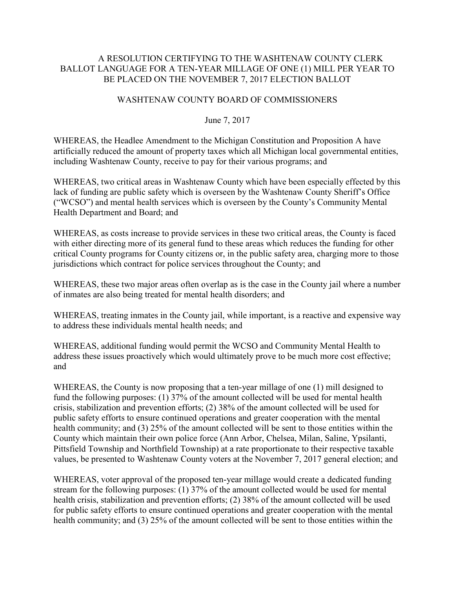#### A RESOLUTION CERTIFYING TO THE WASHTENAW COUNTY CLERK BALLOT LANGUAGE FOR A TEN-YEAR MILLAGE OF ONE (1) MILL PER YEAR TO BE PLACED ON THE NOVEMBER 7, 2017 ELECTION BALLOT

#### WASHTENAW COUNTY BOARD OF COMMISSIONERS

#### June 7, 2017

WHEREAS, the Headlee Amendment to the Michigan Constitution and Proposition A have artificially reduced the amount of property taxes which all Michigan local governmental entities, including Washtenaw County, receive to pay for their various programs; and

WHEREAS, two critical areas in Washtenaw County which have been especially effected by this lack of funding are public safety which is overseen by the Washtenaw County Sheriff's Office ("WCSO") and mental health services which is overseen by the County's Community Mental Health Department and Board; and

WHEREAS, as costs increase to provide services in these two critical areas, the County is faced with either directing more of its general fund to these areas which reduces the funding for other critical County programs for County citizens or, in the public safety area, charging more to those jurisdictions which contract for police services throughout the County; and

WHEREAS, these two major areas often overlap as is the case in the County jail where a number of inmates are also being treated for mental health disorders; and

WHEREAS, treating inmates in the County jail, while important, is a reactive and expensive way to address these individuals mental health needs; and

WHEREAS, additional funding would permit the WCSO and Community Mental Health to address these issues proactively which would ultimately prove to be much more cost effective; and

WHEREAS, the County is now proposing that a ten-year millage of one (1) mill designed to fund the following purposes: (1) 37% of the amount collected will be used for mental health crisis, stabilization and prevention efforts; (2) 38% of the amount collected will be used for public safety efforts to ensure continued operations and greater cooperation with the mental health community; and (3) 25% of the amount collected will be sent to those entities within the County which maintain their own police force (Ann Arbor, Chelsea, Milan, Saline, Ypsilanti, Pittsfield Township and Northfield Township) at a rate proportionate to their respective taxable values, be presented to Washtenaw County voters at the November 7, 2017 general election; and

WHEREAS, voter approval of the proposed ten-year millage would create a dedicated funding stream for the following purposes: (1) 37% of the amount collected would be used for mental health crisis, stabilization and prevention efforts; (2) 38% of the amount collected will be used for public safety efforts to ensure continued operations and greater cooperation with the mental health community; and (3) 25% of the amount collected will be sent to those entities within the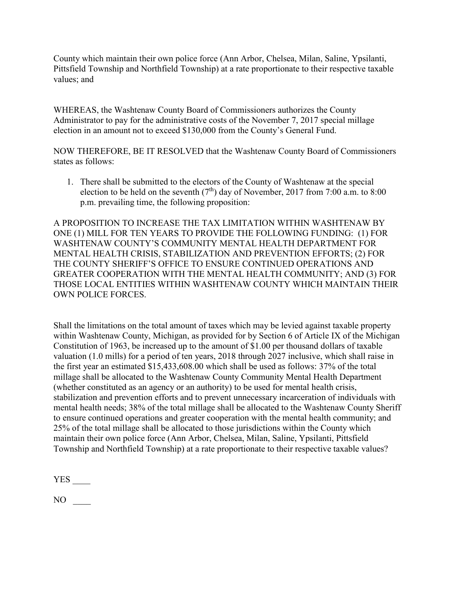County which maintain their own police force (Ann Arbor, Chelsea, Milan, Saline, Ypsilanti, Pittsfield Township and Northfield Township) at a rate proportionate to their respective taxable values; and

WHEREAS, the Washtenaw County Board of Commissioners authorizes the County Administrator to pay for the administrative costs of the November 7, 2017 special millage election in an amount not to exceed \$130,000 from the County's General Fund.

NOW THEREFORE, BE IT RESOLVED that the Washtenaw County Board of Commissioners states as follows:

1. There shall be submitted to the electors of the County of Washtenaw at the special election to be held on the seventh  $(7<sup>th</sup>)$  day of November, 2017 from 7:00 a.m. to 8:00 p.m. prevailing time, the following proposition:

A PROPOSITION TO INCREASE THE TAX LIMITATION WITHIN WASHTENAW BY ONE (1) MILL FOR TEN YEARS TO PROVIDE THE FOLLOWING FUNDING: (1) FOR WASHTENAW COUNTY'S COMMUNITY MENTAL HEALTH DEPARTMENT FOR MENTAL HEALTH CRISIS, STABILIZATION AND PREVENTION EFFORTS; (2) FOR THE COUNTY SHERIFF'S OFFICE TO ENSURE CONTINUED OPERATIONS AND GREATER COOPERATION WITH THE MENTAL HEALTH COMMUNITY; AND (3) FOR THOSE LOCAL ENTITIES WITHIN WASHTENAW COUNTY WHICH MAINTAIN THEIR OWN POLICE FORCES.

Shall the limitations on the total amount of taxes which may be levied against taxable property within Washtenaw County, Michigan, as provided for by Section 6 of Article IX of the Michigan Constitution of 1963, be increased up to the amount of \$1.00 per thousand dollars of taxable valuation (1.0 mills) for a period of ten years, 2018 through 2027 inclusive, which shall raise in the first year an estimated \$15,433,608.00 which shall be used as follows: 37% of the total millage shall be allocated to the Washtenaw County Community Mental Health Department (whether constituted as an agency or an authority) to be used for mental health crisis, stabilization and prevention efforts and to prevent unnecessary incarceration of individuals with mental health needs; 38% of the total millage shall be allocated to the Washtenaw County Sheriff to ensure continued operations and greater cooperation with the mental health community; and 25% of the total millage shall be allocated to those jurisdictions within the County which maintain their own police force (Ann Arbor, Chelsea, Milan, Saline, Ypsilanti, Pittsfield Township and Northfield Township) at a rate proportionate to their respective taxable values?

YES \_\_\_\_

 $NO \t —$